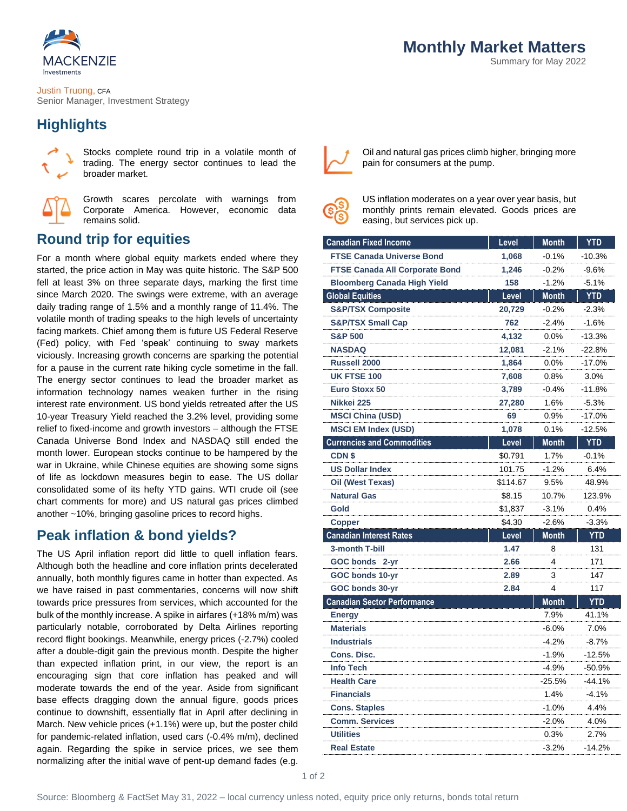

Justin Truong, CFA Senior Manager, Investment Strategy

## **Highlights**



Stocks complete round trip in a volatile month of trading. The energy sector continues to lead the broader market.



Growth scares percolate with warnings from Corporate America. However, economic data remains solid.

## **Round trip for equities**

For a month where global equity markets ended where they started, the price action in May was quite historic. The S&P 500 fell at least 3% on three separate days, marking the first time since March 2020. The swings were extreme, with an average daily trading range of 1.5% and a monthly range of 11.4%. The volatile month of trading speaks to the high levels of uncertainty facing markets. Chief among them is future US Federal Reserve (Fed) policy, with Fed 'speak' continuing to sway markets viciously. Increasing growth concerns are sparking the potential for a pause in the current rate hiking cycle sometime in the fall. The energy sector continues to lead the broader market as information technology names weaken further in the rising interest rate environment. US bond yields retreated after the US 10-year Treasury Yield reached the 3.2% level, providing some relief to fixed-income and growth investors – although the FTSE Canada Universe Bond Index and NASDAQ still ended the month lower. European stocks continue to be hampered by the war in Ukraine, while Chinese equities are showing some signs of life as lockdown measures begin to ease. The US dollar consolidated some of its hefty YTD gains. WTI crude oil (see chart comments for more) and US natural gas prices climbed another ~10%, bringing gasoline prices to record highs.

### **Peak inflation & bond yields?**

The US April inflation report did little to quell inflation fears. Although both the headline and core inflation prints decelerated annually, both monthly figures came in hotter than expected. As we have raised in past commentaries, concerns will now shift towards price pressures from services, which accounted for the bulk of the monthly increase. A spike in airfares (+18% m/m) was particularly notable, corroborated by Delta Airlines reporting record flight bookings. Meanwhile, energy prices (-2.7%) cooled after a double-digit gain the previous month. Despite the higher than expected inflation print, in our view, the report is an encouraging sign that core inflation has peaked and will moderate towards the end of the year. Aside from significant base effects dragging down the annual figure, goods prices continue to downshift, essentially flat in April after declining in March. New vehicle prices (+1.1%) were up, but the poster child for pandemic-related inflation, used cars (-0.4% m/m), declined again. Regarding the spike in service prices, we see them normalizing after the initial wave of pent-up demand fades (e.g.



Oil and natural gas prices climb higher, bringing more pain for consumers at the pump.



US inflation moderates on a year over year basis, but monthly prints remain elevated. Goods prices are easing, but services pick up.

| <b>Canadian Fixed Income</b>          | Level    | Month        | YTD        |
|---------------------------------------|----------|--------------|------------|
| <b>FTSE Canada Universe Bond</b>      | 1,068    | $-0.1%$      | $-10.3%$   |
| <b>FTSE Canada All Corporate Bond</b> | 1,246    | $-0.2\%$     | $-9.6%$    |
| <b>Bloomberg Canada High Yield</b>    | 158      | $-1.2%$      | $-5.1%$    |
| <b>Global Equities</b>                | Level    | <b>Month</b> | <b>YTD</b> |
| <b>S&amp;P/TSX Composite</b>          | 20,729   | $-0.2%$      | $-2.3%$    |
| <b>S&amp;P/TSX Small Cap</b>          | 762      | $-2.4%$      | $-1.6%$    |
| <b>S&amp;P 500</b>                    | 4,132    | 0.0%         | $-13.3%$   |
| <b>NASDAQ</b>                         | 12,081   | $-2.1%$      | $-22.8%$   |
| <b>Russell 2000</b>                   | 1,864    | 0.0%         | $-17.0%$   |
| <b>UK FTSE 100</b>                    | 7,608    | 0.8%         | 3.0%       |
| <b>Euro Stoxx 50</b>                  | 3,789    | $-0.4%$      | $-11.8%$   |
| Nikkei 225                            | 27,280   | 1.6%         | -5.3%      |
| <b>MSCI China (USD)</b>               | 69       | 0.9%         | -17.0%     |
| <b>MSCI EM Index (USD)</b>            | 1,078    | 0.1%         | $-12.5%$   |
| <b>Currencies and Commodities</b>     | Level    | Month        | <b>YTD</b> |
| <b>CDNS</b>                           | \$0.791  | 1.7%         | $-0.1%$    |
| <b>US Dollar Index</b>                | 101.75   | $-1.2%$      | 6.4%       |
| Oil (West Texas)                      | \$114.67 | 9.5%         | 48.9%      |
| <b>Natural Gas</b>                    | \$8.15   | 10.7%        | 123.9%     |
| Gold                                  | \$1,837  | $-3.1%$      | 0.4%       |
| <b>Copper</b>                         | \$4.30   | $-2.6%$      | -3.3%      |
| <b>Canadian Interest Rates</b>        | Level    | Month        | <b>YTD</b> |
| 3-month T-bill                        | 1.47     | 8            | 131        |
| <b>GOC bonds</b><br>2-yr              | 2.66     | 4            | 171        |
| GOC bonds 10-yr                       | 2.89     | 3            | 147        |
| GOC bonds 30-yr                       | 2.84     | 4            | 117        |
| <b>Canadian Sector Performance</b>    |          | <b>Month</b> | <b>YTD</b> |
| <b>Energy</b>                         |          | 7.9%         | 41.1%      |
| <b>Materials</b>                      |          | $-6.0%$      | 7.0%       |
| <b>Industrials</b>                    |          | $-4.2%$      | $-8.7%$    |
| <b>Cons. Disc.</b>                    |          | -1.9%        | -12.5%     |
| <b>Info Tech</b>                      |          | -4.9%        | -50.9%     |
| <b>Health Care</b>                    |          | $-25.5%$     | $-44.1%$   |
| <b>Financials</b>                     |          | 1.4%         | $-4.1%$    |
| <b>Cons. Staples</b>                  |          | -1.0%        | 4.4%       |
| <b>Comm. Services</b>                 |          | $-2.0%$      | 4.0%       |
| <b>Utilities</b>                      |          | 0.3%         | 2.7%       |
| <b>Real Estate</b>                    |          | $-3.2%$      | $-14.2%$   |
|                                       |          |              |            |